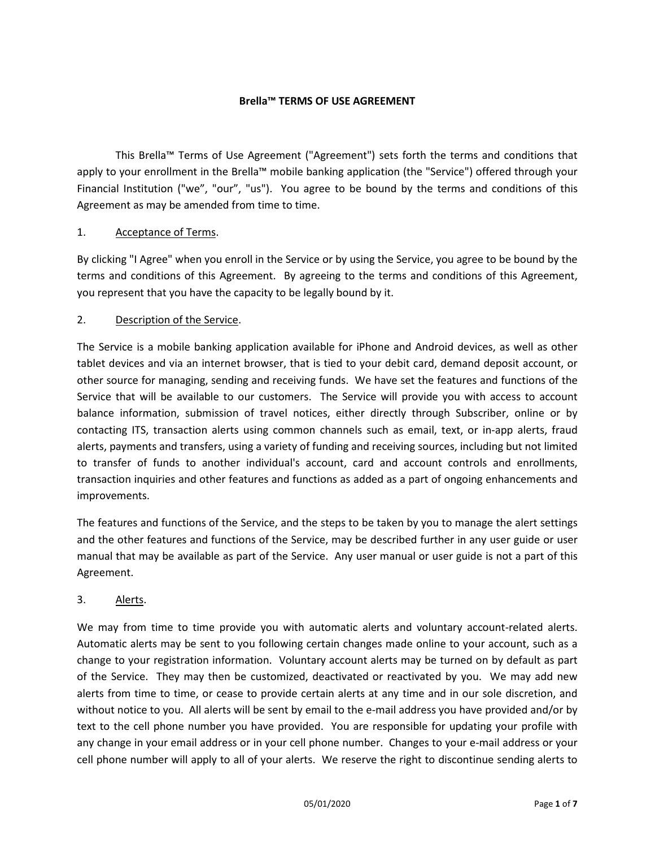### **Brella™ TERMS OF USE AGREEMENT**

This Brella™ Terms of Use Agreement ("Agreement") sets forth the terms and conditions that apply to your enrollment in the Brella™ mobile banking application (the "Service") offered through your Financial Institution ("we", "our", "us"). You agree to be bound by the terms and conditions of this Agreement as may be amended from time to time.

#### 1. Acceptance of Terms.

By clicking "I Agree" when you enroll in the Service or by using the Service, you agree to be bound by the terms and conditions of this Agreement. By agreeing to the terms and conditions of this Agreement, you represent that you have the capacity to be legally bound by it.

### 2. Description of the Service.

The Service is a mobile banking application available for iPhone and Android devices, as well as other tablet devices and via an internet browser, that is tied to your debit card, demand deposit account, or other source for managing, sending and receiving funds. We have set the features and functions of the Service that will be available to our customers. The Service will provide you with access to account balance information, submission of travel notices, either directly through Subscriber, online or by contacting ITS, transaction alerts using common channels such as email, text, or in-app alerts, fraud alerts, payments and transfers, using a variety of funding and receiving sources, including but not limited to transfer of funds to another individual's account, card and account controls and enrollments, transaction inquiries and other features and functions as added as a part of ongoing enhancements and improvements.

The features and functions of the Service, and the steps to be taken by you to manage the alert settings and the other features and functions of the Service, may be described further in any user guide or user manual that may be available as part of the Service. Any user manual or user guide is not a part of this Agreement.

# 3. Alerts.

We may from time to time provide you with automatic alerts and voluntary account-related alerts. Automatic alerts may be sent to you following certain changes made online to your account, such as a change to your registration information. Voluntary account alerts may be turned on by default as part of the Service. They may then be customized, deactivated or reactivated by you. We may add new alerts from time to time, or cease to provide certain alerts at any time and in our sole discretion, and without notice to you. All alerts will be sent by email to the e-mail address you have provided and/or by text to the cell phone number you have provided. You are responsible for updating your profile with any change in your email address or in your cell phone number. Changes to your e-mail address or your cell phone number will apply to all of your alerts. We reserve the right to discontinue sending alerts to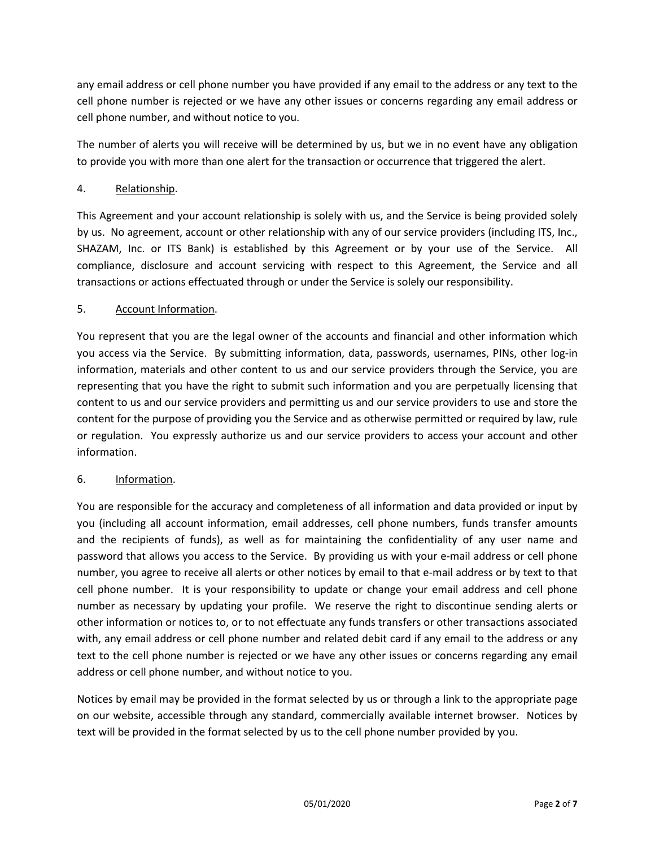any email address or cell phone number you have provided if any email to the address or any text to the cell phone number is rejected or we have any other issues or concerns regarding any email address or cell phone number, and without notice to you.

The number of alerts you will receive will be determined by us, but we in no event have any obligation to provide you with more than one alert for the transaction or occurrence that triggered the alert.

# 4. Relationship.

This Agreement and your account relationship is solely with us, and the Service is being provided solely by us. No agreement, account or other relationship with any of our service providers (including ITS, Inc., SHAZAM, Inc. or ITS Bank) is established by this Agreement or by your use of the Service. All compliance, disclosure and account servicing with respect to this Agreement, the Service and all transactions or actions effectuated through or under the Service is solely our responsibility.

# 5. Account Information.

You represent that you are the legal owner of the accounts and financial and other information which you access via the Service. By submitting information, data, passwords, usernames, PINs, other log-in information, materials and other content to us and our service providers through the Service, you are representing that you have the right to submit such information and you are perpetually licensing that content to us and our service providers and permitting us and our service providers to use and store the content for the purpose of providing you the Service and as otherwise permitted or required by law, rule or regulation. You expressly authorize us and our service providers to access your account and other information.

#### 6. Information.

You are responsible for the accuracy and completeness of all information and data provided or input by you (including all account information, email addresses, cell phone numbers, funds transfer amounts and the recipients of funds), as well as for maintaining the confidentiality of any user name and password that allows you access to the Service. By providing us with your e-mail address or cell phone number, you agree to receive all alerts or other notices by email to that e-mail address or by text to that cell phone number. It is your responsibility to update or change your email address and cell phone number as necessary by updating your profile. We reserve the right to discontinue sending alerts or other information or notices to, or to not effectuate any funds transfers or other transactions associated with, any email address or cell phone number and related debit card if any email to the address or any text to the cell phone number is rejected or we have any other issues or concerns regarding any email address or cell phone number, and without notice to you.

Notices by email may be provided in the format selected by us or through a link to the appropriate page on our website, accessible through any standard, commercially available internet browser. Notices by text will be provided in the format selected by us to the cell phone number provided by you.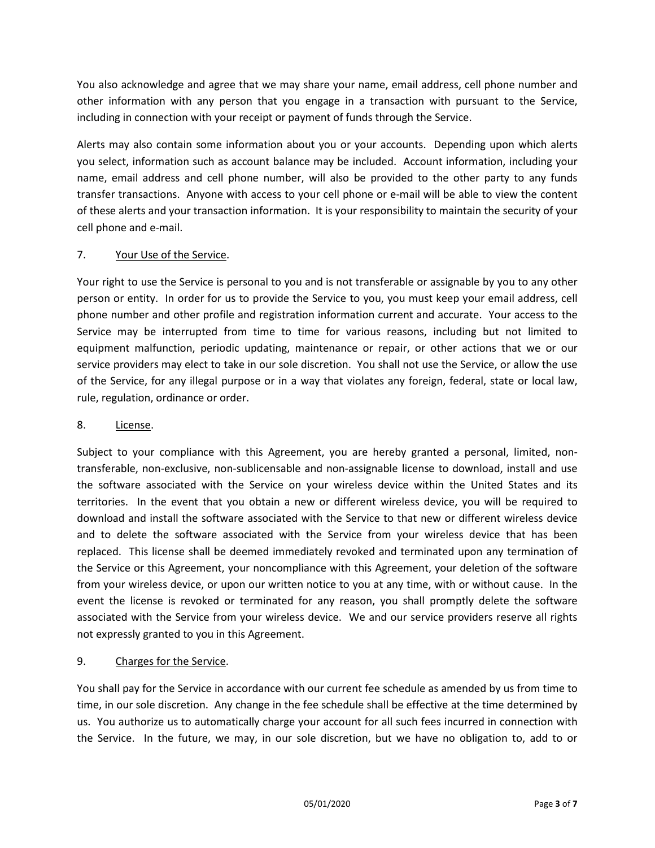You also acknowledge and agree that we may share your name, email address, cell phone number and other information with any person that you engage in a transaction with pursuant to the Service, including in connection with your receipt or payment of funds through the Service.

Alerts may also contain some information about you or your accounts. Depending upon which alerts you select, information such as account balance may be included. Account information, including your name, email address and cell phone number, will also be provided to the other party to any funds transfer transactions. Anyone with access to your cell phone or e-mail will be able to view the content of these alerts and your transaction information. It is your responsibility to maintain the security of your cell phone and e-mail.

# 7. Your Use of the Service.

Your right to use the Service is personal to you and is not transferable or assignable by you to any other person or entity. In order for us to provide the Service to you, you must keep your email address, cell phone number and other profile and registration information current and accurate. Your access to the Service may be interrupted from time to time for various reasons, including but not limited to equipment malfunction, periodic updating, maintenance or repair, or other actions that we or our service providers may elect to take in our sole discretion. You shall not use the Service, or allow the use of the Service, for any illegal purpose or in a way that violates any foreign, federal, state or local law, rule, regulation, ordinance or order.

### 8. License.

Subject to your compliance with this Agreement, you are hereby granted a personal, limited, nontransferable, non-exclusive, non-sublicensable and non-assignable license to download, install and use the software associated with the Service on your wireless device within the United States and its territories. In the event that you obtain a new or different wireless device, you will be required to download and install the software associated with the Service to that new or different wireless device and to delete the software associated with the Service from your wireless device that has been replaced. This license shall be deemed immediately revoked and terminated upon any termination of the Service or this Agreement, your noncompliance with this Agreement, your deletion of the software from your wireless device, or upon our written notice to you at any time, with or without cause. In the event the license is revoked or terminated for any reason, you shall promptly delete the software associated with the Service from your wireless device. We and our service providers reserve all rights not expressly granted to you in this Agreement.

# 9. Charges for the Service.

You shall pay for the Service in accordance with our current fee schedule as amended by us from time to time, in our sole discretion. Any change in the fee schedule shall be effective at the time determined by us. You authorize us to automatically charge your account for all such fees incurred in connection with the Service. In the future, we may, in our sole discretion, but we have no obligation to, add to or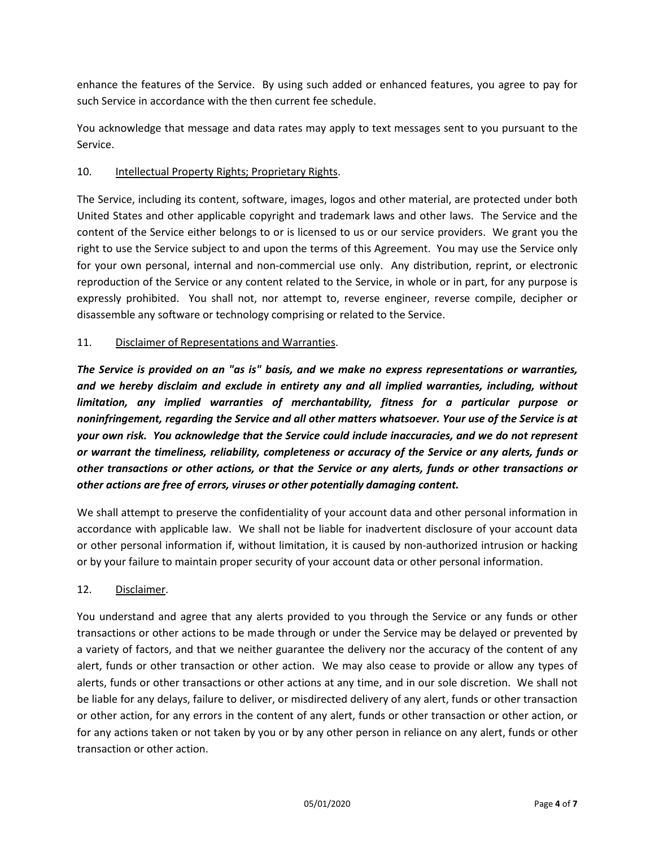enhance the features of the Service. By using such added or enhanced features, you agree to pay for such Service in accordance with the then current fee schedule.

You acknowledge that message and data rates may apply to text messages sent to you pursuant to the Service.

### 10. Intellectual Property Rights; Proprietary Rights.

The Service, including its content, software, images, logos and other material, are protected under both United States and other applicable copyright and trademark laws and other laws. The Service and the content of the Service either belongs to or is licensed to us or our service providers. We grant you the right to use the Service subject to and upon the terms of this Agreement. You may use the Service only for your own personal, internal and non-commercial use only. Any distribution, reprint, or electronic reproduction of the Service or any content related to the Service, in whole or in part, for any purpose is expressly prohibited. You shall not, nor attempt to, reverse engineer, reverse compile, decipher or disassemble any software or technology comprising or related to the Service.

#### 11. Disclaimer of Representations and Warranties.

*The Service is provided on an "as is" basis, and we make no express representations or warranties, and we hereby disclaim and exclude in entirety any and all implied warranties, including, without limitation, any implied warranties of merchantability, fitness for a particular purpose or noninfringement, regarding the Service and all other matters whatsoever. Your use of the Service is at your own risk. You acknowledge that the Service could include inaccuracies, and we do not represent or warrant the timeliness, reliability, completeness or accuracy of the Service or any alerts, funds or other transactions or other actions, or that the Service or any alerts, funds or other transactions or other actions are free of errors, viruses or other potentially damaging content.* 

We shall attempt to preserve the confidentiality of your account data and other personal information in accordance with applicable law. We shall not be liable for inadvertent disclosure of your account data or other personal information if, without limitation, it is caused by non-authorized intrusion or hacking or by your failure to maintain proper security of your account data or other personal information.

#### 12. Disclaimer.

You understand and agree that any alerts provided to you through the Service or any funds or other transactions or other actions to be made through or under the Service may be delayed or prevented by a variety of factors, and that we neither guarantee the delivery nor the accuracy of the content of any alert, funds or other transaction or other action. We may also cease to provide or allow any types of alerts, funds or other transactions or other actions at any time, and in our sole discretion. We shall not be liable for any delays, failure to deliver, or misdirected delivery of any alert, funds or other transaction or other action, for any errors in the content of any alert, funds or other transaction or other action, or for any actions taken or not taken by you or by any other person in reliance on any alert, funds or other transaction or other action.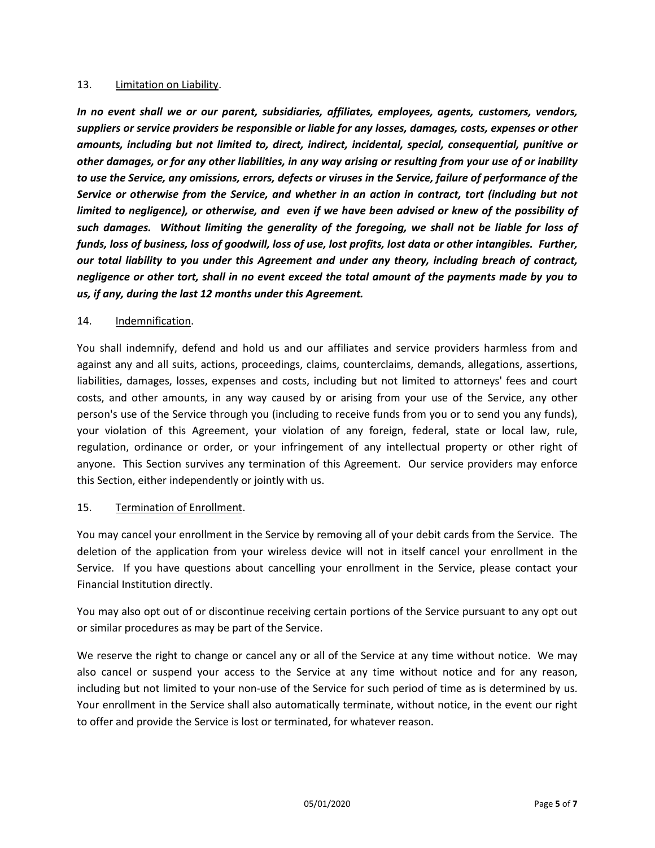#### 13. Limitation on Liability.

*In no event shall we or our parent, subsidiaries, affiliates, employees, agents, customers, vendors, suppliers or service providers be responsible or liable for any losses, damages, costs, expenses or other amounts, including but not limited to, direct, indirect, incidental, special, consequential, punitive or other damages, or for any other liabilities, in any way arising or resulting from your use of or inability to use the Service, any omissions, errors, defects or viruses in the Service, failure of performance of the Service or otherwise from the Service, and whether in an action in contract, tort (including but not*  limited to negligence), or otherwise, and even if we have been advised or knew of the possibility of *such damages. Without limiting the generality of the foregoing, we shall not be liable for loss of funds, loss of business, loss of goodwill, loss of use, lost profits, lost data or other intangibles. Further, our total liability to you under this Agreement and under any theory, including breach of contract, negligence or other tort, shall in no event exceed the total amount of the payments made by you to us, if any, during the last 12 months under this Agreement.*

#### 14. Indemnification.

You shall indemnify, defend and hold us and our affiliates and service providers harmless from and against any and all suits, actions, proceedings, claims, counterclaims, demands, allegations, assertions, liabilities, damages, losses, expenses and costs, including but not limited to attorneys' fees and court costs, and other amounts, in any way caused by or arising from your use of the Service, any other person's use of the Service through you (including to receive funds from you or to send you any funds), your violation of this Agreement, your violation of any foreign, federal, state or local law, rule, regulation, ordinance or order, or your infringement of any intellectual property or other right of anyone. This Section survives any termination of this Agreement. Our service providers may enforce this Section, either independently or jointly with us.

#### 15. Termination of Enrollment.

You may cancel your enrollment in the Service by removing all of your debit cards from the Service. The deletion of the application from your wireless device will not in itself cancel your enrollment in the Service. If you have questions about cancelling your enrollment in the Service, please contact your Financial Institution directly.

You may also opt out of or discontinue receiving certain portions of the Service pursuant to any opt out or similar procedures as may be part of the Service.

We reserve the right to change or cancel any or all of the Service at any time without notice. We may also cancel or suspend your access to the Service at any time without notice and for any reason, including but not limited to your non-use of the Service for such period of time as is determined by us. Your enrollment in the Service shall also automatically terminate, without notice, in the event our right to offer and provide the Service is lost or terminated, for whatever reason.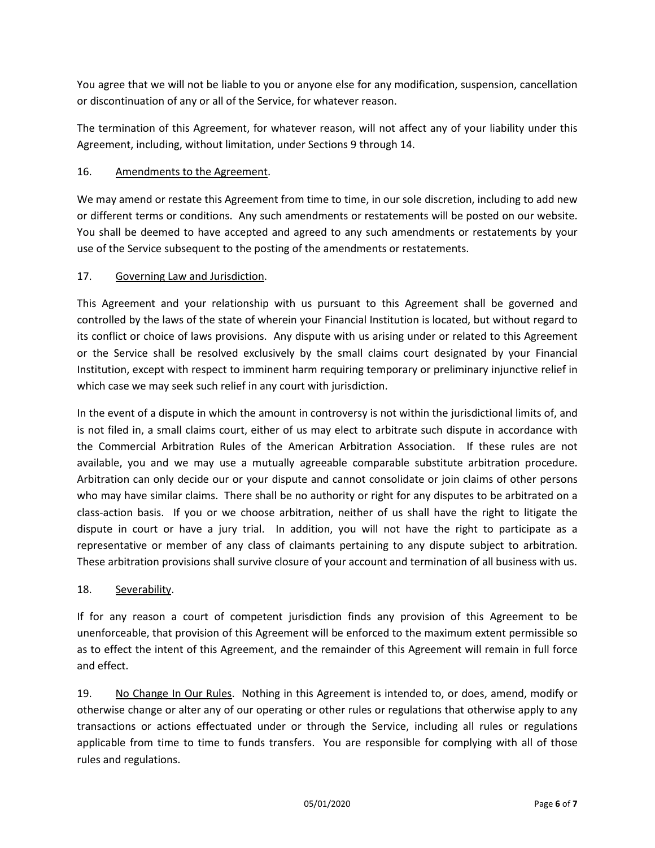You agree that we will not be liable to you or anyone else for any modification, suspension, cancellation or discontinuation of any or all of the Service, for whatever reason.

The termination of this Agreement, for whatever reason, will not affect any of your liability under this Agreement, including, without limitation, under Sections 9 through 14.

### 16. Amendments to the Agreement.

We may amend or restate this Agreement from time to time, in our sole discretion, including to add new or different terms or conditions. Any such amendments or restatements will be posted on our website. You shall be deemed to have accepted and agreed to any such amendments or restatements by your use of the Service subsequent to the posting of the amendments or restatements.

### 17. Governing Law and Jurisdiction.

This Agreement and your relationship with us pursuant to this Agreement shall be governed and controlled by the laws of the state of wherein your Financial Institution is located, but without regard to its conflict or choice of laws provisions. Any dispute with us arising under or related to this Agreement or the Service shall be resolved exclusively by the small claims court designated by your Financial Institution, except with respect to imminent harm requiring temporary or preliminary injunctive relief in which case we may seek such relief in any court with jurisdiction.

In the event of a dispute in which the amount in controversy is not within the jurisdictional limits of, and is not filed in, a small claims court, either of us may elect to arbitrate such dispute in accordance with the Commercial Arbitration Rules of the American Arbitration Association. If these rules are not available, you and we may use a mutually agreeable comparable substitute arbitration procedure. Arbitration can only decide our or your dispute and cannot consolidate or join claims of other persons who may have similar claims. There shall be no authority or right for any disputes to be arbitrated on a class-action basis. If you or we choose arbitration, neither of us shall have the right to litigate the dispute in court or have a jury trial. In addition, you will not have the right to participate as a representative or member of any class of claimants pertaining to any dispute subject to arbitration. These arbitration provisions shall survive closure of your account and termination of all business with us.

# 18. Severability.

If for any reason a court of competent jurisdiction finds any provision of this Agreement to be unenforceable, that provision of this Agreement will be enforced to the maximum extent permissible so as to effect the intent of this Agreement, and the remainder of this Agreement will remain in full force and effect.

19. No Change In Our Rules. Nothing in this Agreement is intended to, or does, amend, modify or otherwise change or alter any of our operating or other rules or regulations that otherwise apply to any transactions or actions effectuated under or through the Service, including all rules or regulations applicable from time to time to funds transfers. You are responsible for complying with all of those rules and regulations.